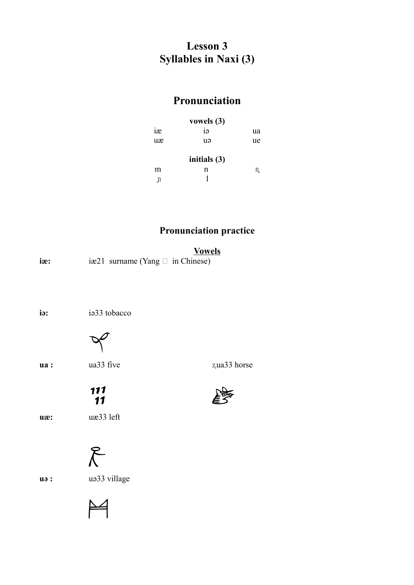## **Lesson 3 Syllables in Naxi (3)**

## **Pronunciation**

|                 | vowels $(3)$ |    |
|-----------------|--------------|----|
| 12 <sup>e</sup> | iə           | ua |
| uæ              | uə           | ue |
|                 | initials (3) |    |
| m               | n            | n. |
| n.              |              |    |

### **Pronunciation practice**

|     |                                       | <b>Vowels</b> |
|-----|---------------------------------------|---------------|
| iæ: | iæ21 surname (Yang $\Box$ in Chinese) |               |

**iə:** iə33 tobacco



**ua :** ua33 five  $z$ ua33 horse

**uæ:** uæ33 left



 $\blacktriangleright$ 

 $\frac{111}{11}$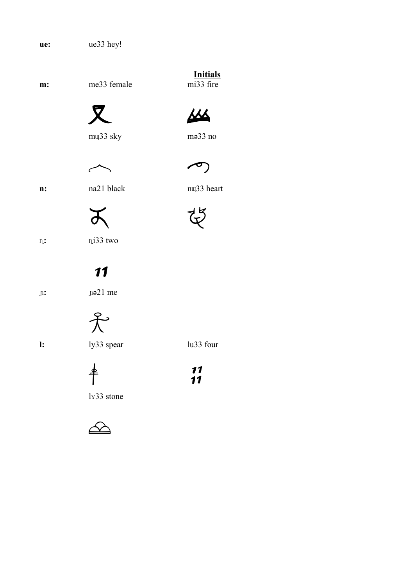ue33 hey! ue:

me33 female m:





mw<sub>33</sub> sky



 $mə33 no$ 



 $\curvearrowleft$ 

 $\mathbf{n}$ :

na21 black



nuz33 heart



 $\mathfrak{n}$ :

ni33 two

# 11

 $\mathfrak{p}$ :

na21 me





ly33 spear

lu33 four



 $\frac{11}{11}$ 

 $1<sub>x</sub>33$  stone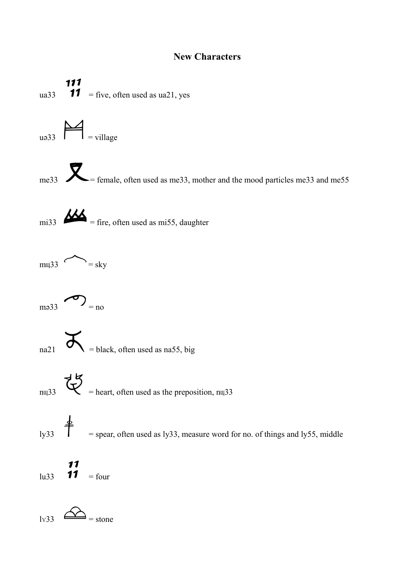#### **New Characters**

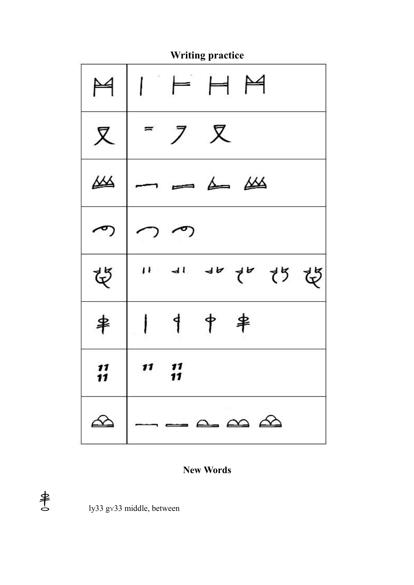

### **New Words**



ly33 gv33 middle, between